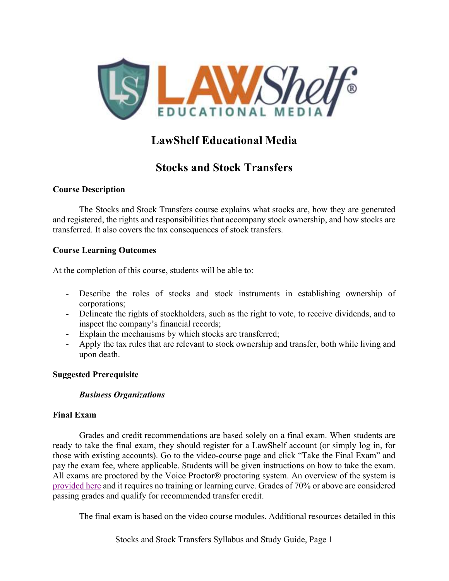

# LawShelf Educational Media

# Stocks and Stock Transfers

## Course Description

The Stocks and Stock Transfers course explains what stocks are, how they are generated and registered, the rights and responsibilities that accompany stock ownership, and how stocks are transferred. It also covers the tax consequences of stock transfers.

## Course Learning Outcomes

At the completion of this course, students will be able to:

- Describe the roles of stocks and stock instruments in establishing ownership of corporations;
- Delineate the rights of stockholders, such as the right to vote, to receive dividends, and to inspect the company's financial records;
- Explain the mechanisms by which stocks are transferred;
- Apply the tax rules that are relevant to stock ownership and transfer, both while living and upon death.

### Suggested Prerequisite

## Business Organizations

### Final Exam

 Grades and credit recommendations are based solely on a final exam. When students are ready to take the final exam, they should register for a LawShelf account (or simply log in, for those with existing accounts). Go to the video-course page and click "Take the Final Exam" and pay the exam fee, where applicable. Students will be given instructions on how to take the exam. All exams are proctored by the Voice Proctor® proctoring system. An overview of the system is provided here and it requires no training or learning curve. Grades of 70% or above are considered passing grades and qualify for recommended transfer credit.

The final exam is based on the video course modules. Additional resources detailed in this

Stocks and Stock Transfers Syllabus and Study Guide, Page 1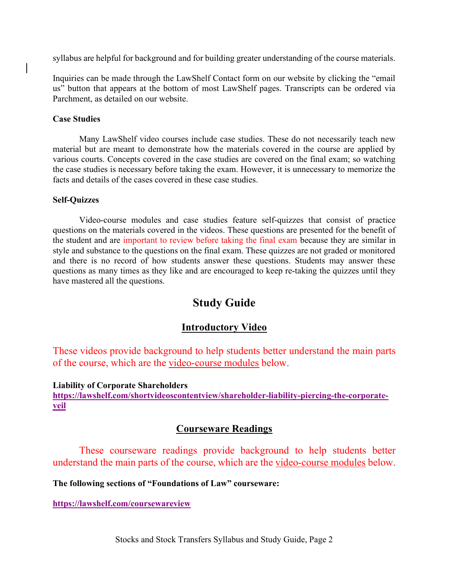syllabus are helpful for background and for building greater understanding of the course materials.

Inquiries can be made through the LawShelf Contact form on our website by clicking the "email us" button that appears at the bottom of most LawShelf pages. Transcripts can be ordered via Parchment, as detailed on our website.

#### Case Studies

 Many LawShelf video courses include case studies. These do not necessarily teach new material but are meant to demonstrate how the materials covered in the course are applied by various courts. Concepts covered in the case studies are covered on the final exam; so watching the case studies is necessary before taking the exam. However, it is unnecessary to memorize the facts and details of the cases covered in these case studies.

#### Self-Quizzes

 Video-course modules and case studies feature self-quizzes that consist of practice questions on the materials covered in the videos. These questions are presented for the benefit of the student and are important to review before taking the final exam because they are similar in style and substance to the questions on the final exam. These quizzes are not graded or monitored and there is no record of how students answer these questions. Students may answer these questions as many times as they like and are encouraged to keep re-taking the quizzes until they have mastered all the questions.

## Study Guide

## Introductory Video

These videos provide background to help students better understand the main parts of the course, which are the video-course modules below.

Liability of Corporate Shareholders

https://lawshelf.com/shortvideoscontentview/shareholder-liability-piercing-the-corporateveil

## Courseware Readings

These courseware readings provide background to help students better understand the main parts of the course, which are the video-course modules below.

The following sections of "Foundations of Law" courseware:

https://lawshelf.com/coursewareview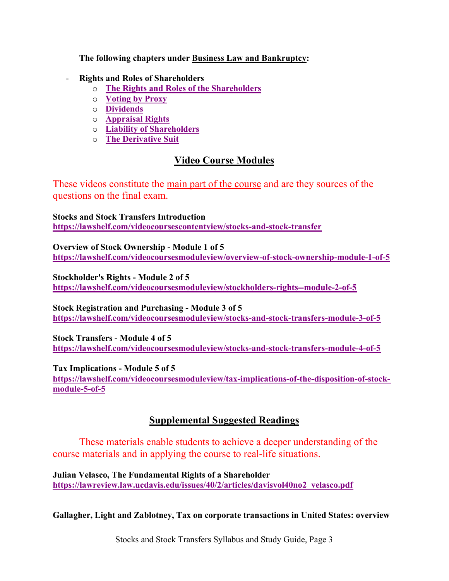The following chapters under **Business Law and Bankruptcy:** 

- Rights and Roles of Shareholders
	- o The Rights and Roles of the Shareholders
	- o Voting by Proxy
	- o Dividends
	- o Appraisal Rights
	- o Liability of Shareholders
	- o The Derivative Suit

## Video Course Modules

These videos constitute the main part of the course and are they sources of the questions on the final exam.

Stocks and Stock Transfers Introduction https://lawshelf.com/videocoursescontentview/stocks-and-stock-transfer

Overview of Stock Ownership - Module 1 of 5 https://lawshelf.com/videocoursesmoduleview/overview-of-stock-ownership-module-1-of-5

Stockholder's Rights - Module 2 of 5 https://lawshelf.com/videocoursesmoduleview/stockholders-rights--module-2-of-5

Stock Registration and Purchasing - Module 3 of 5 https://lawshelf.com/videocoursesmoduleview/stocks-and-stock-transfers-module-3-of-5

Stock Transfers - Module 4 of 5 https://lawshelf.com/videocoursesmoduleview/stocks-and-stock-transfers-module-4-of-5

Tax Implications - Module 5 of 5

https://lawshelf.com/videocoursesmoduleview/tax-implications-of-the-disposition-of-stockmodule-5-of-5

## Supplemental Suggested Readings

 These materials enable students to achieve a deeper understanding of the course materials and in applying the course to real-life situations.

Julian Velasco, The Fundamental Rights of a Shareholder https://lawreview.law.ucdavis.edu/issues/40/2/articles/davisvol40no2\_velasco.pdf

Gallagher, Light and Zablotney, Tax on corporate transactions in United States: overview

Stocks and Stock Transfers Syllabus and Study Guide, Page 3